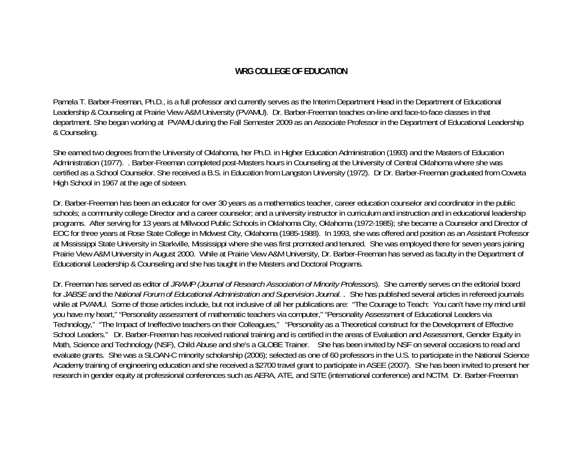## **WRG COLLEGE OF EDUCATION**

Pamela T. Barber-Freeman, Ph.D., is a full professor and currently serves as the Interim Department Head in the Department of Educational Leadership & Counseling at Prairie View A&M University (PVAMU). Dr. Barber-Freeman teaches on-line and face-to-face classes in that department. She began working at PVAMU during the Fall Semester 2009 as an Associate Professor in the Department of Educational Leadership & Counseling.

She earned two degrees from the University of Oklahoma, her Ph.D. in Higher Education Administration (1993) and the Masters of Education Administration (1977). . Barber-Freeman completed post-Masters hours in Counseling at the University of Central Oklahoma where she was certified as a School Counselor. She received a B.S. in Education from Langston University (1972). Dr Dr. Barber-Freeman graduated from Coweta High School in 1967 at the age of sixteen.

Dr. Barber-Freeman has been an educator for over 30 years as a mathematics teacher, career education counselor and coordinator in the public schools; a community college Director and a career counselor; and a university instructor in curriculum and instruction and in educational leadership programs. After serving for 13 years at Millwood Public Schools in Oklahoma City, Oklahoma (1972-1985); she became a Counselor and Director of EOC for three years at Rose State College in Midwest City, Oklahoma (1985-1988). In 1993, she was offered and position as an Assistant Professor at Mississippi State University in Starkville, Mississippi where she was first promoted and tenured. She was employed there for seven years joining Prairie View A&M University in August 2000. While at Prairie View A&M University, Dr. Barber-Freeman has served as faculty in the Department of Educational Leadership & Counseling and she has taught in the Masters and Doctoral Programs.

Dr. Freeman has served as editor of *JRAMP (Journal of Research Association of Minority Professor*s). She currently serves on the editorial board for *JABSE* and the *National Forum of Educational Administration and Supervision Journal.* . She has published several articles in refereed journals while at PVAMU. Some of those articles include, but not inclusive of all her publications are: "The Courage to Teach: You can't have my mind until you have my heart," "Personality assessment of mathematic teachers via computer," "Personality Assessment of Educational Leaders via Technology," "The Impact of Ineffective teachers on their Colleagues," "Personality as a Theoretical construct for the Development of Effective School Leaders." Dr. Barber-Freeman has received national training and is certified in the areas of Evaluation and Assessment, Gender Equity in Math, Science and Technology (NSF), Child Abuse and she's a GLOBE Trainer. She has been invited by NSF on several occasions to read and evaluate grants. She was a SLOAN-C minority scholarship (2006); selected as one of 60 professors in the U.S. to participate in the National Science Academy training of engineering education and she received a \$2700 travel grant to participate in ASEE (2007). She has been invited to present her research in gender equity at professional conferences such as AERA, ATE, and SITE (international conference) and NCTM. Dr. Barber-Freeman